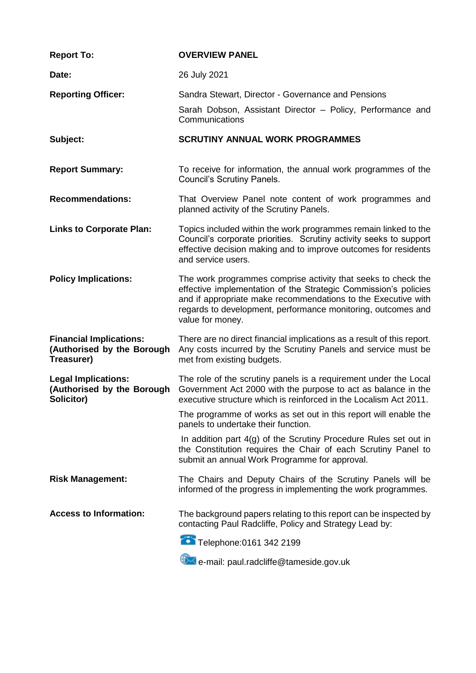| <b>Report To:</b>                                                          | <b>OVERVIEW PANEL</b>                                                                                                                                                                                                                                                                 |
|----------------------------------------------------------------------------|---------------------------------------------------------------------------------------------------------------------------------------------------------------------------------------------------------------------------------------------------------------------------------------|
| Date:                                                                      | 26 July 2021                                                                                                                                                                                                                                                                          |
| <b>Reporting Officer:</b>                                                  | Sandra Stewart, Director - Governance and Pensions<br>Sarah Dobson, Assistant Director - Policy, Performance and<br>Communications                                                                                                                                                    |
| Subject:                                                                   | <b>SCRUTINY ANNUAL WORK PROGRAMMES</b>                                                                                                                                                                                                                                                |
| <b>Report Summary:</b>                                                     | To receive for information, the annual work programmes of the<br><b>Council's Scrutiny Panels.</b>                                                                                                                                                                                    |
| <b>Recommendations:</b>                                                    | That Overview Panel note content of work programmes and<br>planned activity of the Scrutiny Panels.                                                                                                                                                                                   |
| <b>Links to Corporate Plan:</b>                                            | Topics included within the work programmes remain linked to the<br>Council's corporate priorities. Scrutiny activity seeks to support<br>effective decision making and to improve outcomes for residents<br>and service users.                                                        |
| <b>Policy Implications:</b>                                                | The work programmes comprise activity that seeks to check the<br>effective implementation of the Strategic Commission's policies<br>and if appropriate make recommendations to the Executive with<br>regards to development, performance monitoring, outcomes and<br>value for money. |
| <b>Financial Implications:</b><br>(Authorised by the Borough<br>Treasurer) | There are no direct financial implications as a result of this report.<br>Any costs incurred by the Scrutiny Panels and service must be<br>met from existing budgets.                                                                                                                 |
| <b>Legal Implications:</b><br>(Authorised by the Borough<br>Solicitor)     | The role of the scrutiny panels is a requirement under the Local<br>Government Act 2000 with the purpose to act as balance in the<br>executive structure which is reinforced in the Localism Act 2011.                                                                                |
|                                                                            | The programme of works as set out in this report will enable the<br>panels to undertake their function.                                                                                                                                                                               |
|                                                                            | In addition part 4(g) of the Scrutiny Procedure Rules set out in<br>the Constitution requires the Chair of each Scrutiny Panel to<br>submit an annual Work Programme for approval.                                                                                                    |
| <b>Risk Management:</b>                                                    | The Chairs and Deputy Chairs of the Scrutiny Panels will be<br>informed of the progress in implementing the work programmes.                                                                                                                                                          |
| <b>Access to Information:</b>                                              | The background papers relating to this report can be inspected by<br>contacting Paul Radcliffe, Policy and Strategy Lead by:                                                                                                                                                          |
|                                                                            | Telephone: 0161 342 2199                                                                                                                                                                                                                                                              |
|                                                                            | e-mail: paul.radcliffe@tameside.gov.uk                                                                                                                                                                                                                                                |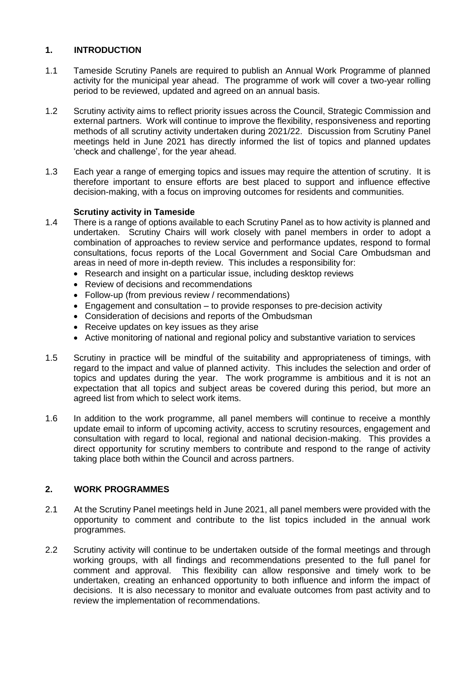# **1. INTRODUCTION**

- 1.1 Tameside Scrutiny Panels are required to publish an Annual Work Programme of planned activity for the municipal year ahead. The programme of work will cover a two-year rolling period to be reviewed, updated and agreed on an annual basis.
- 1.2 Scrutiny activity aims to reflect priority issues across the Council, Strategic Commission and external partners. Work will continue to improve the flexibility, responsiveness and reporting methods of all scrutiny activity undertaken during 2021/22. Discussion from Scrutiny Panel meetings held in June 2021 has directly informed the list of topics and planned updates 'check and challenge', for the year ahead.
- 1.3 Each year a range of emerging topics and issues may require the attention of scrutiny. It is therefore important to ensure efforts are best placed to support and influence effective decision-making, with a focus on improving outcomes for residents and communities.

# **Scrutiny activity in Tameside**

- 1.4 There is a range of options available to each Scrutiny Panel as to how activity is planned and undertaken. Scrutiny Chairs will work closely with panel members in order to adopt a combination of approaches to review service and performance updates, respond to formal consultations, focus reports of the Local Government and Social Care Ombudsman and areas in need of more in-depth review. This includes a responsibility for:
	- Research and insight on a particular issue, including desktop reviews
	- Review of decisions and recommendations
	- Follow-up (from previous review / recommendations)
	- Engagement and consultation to provide responses to pre-decision activity
	- Consideration of decisions and reports of the Ombudsman
	- Receive updates on key issues as they arise
	- Active monitoring of national and regional policy and substantive variation to services
- 1.5 Scrutiny in practice will be mindful of the suitability and appropriateness of timings, with regard to the impact and value of planned activity. This includes the selection and order of topics and updates during the year. The work programme is ambitious and it is not an expectation that all topics and subject areas be covered during this period, but more an agreed list from which to select work items.
- 1.6 In addition to the work programme, all panel members will continue to receive a monthly update email to inform of upcoming activity, access to scrutiny resources, engagement and consultation with regard to local, regional and national decision-making. This provides a direct opportunity for scrutiny members to contribute and respond to the range of activity taking place both within the Council and across partners.

# **2. WORK PROGRAMMES**

- 2.1 At the Scrutiny Panel meetings held in June 2021, all panel members were provided with the opportunity to comment and contribute to the list topics included in the annual work programmes.
- 2.2 Scrutiny activity will continue to be undertaken outside of the formal meetings and through working groups, with all findings and recommendations presented to the full panel for comment and approval. This flexibility can allow responsive and timely work to be undertaken, creating an enhanced opportunity to both influence and inform the impact of decisions. It is also necessary to monitor and evaluate outcomes from past activity and to review the implementation of recommendations.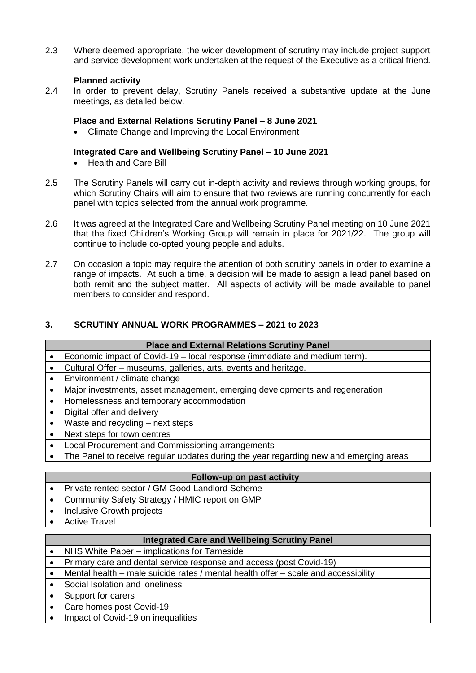2.3 Where deemed appropriate, the wider development of scrutiny may include project support and service development work undertaken at the request of the Executive as a critical friend.

# **Planned activity**

2.4 In order to prevent delay, Scrutiny Panels received a substantive update at the June meetings, as detailed below.

#### **Place and External Relations Scrutiny Panel – 8 June 2021**

Climate Change and Improving the Local Environment

#### **Integrated Care and Wellbeing Scrutiny Panel – 10 June 2021**

- Health and Care Bill
- 2.5 The Scrutiny Panels will carry out in-depth activity and reviews through working groups, for which Scrutiny Chairs will aim to ensure that two reviews are running concurrently for each panel with topics selected from the annual work programme.
- 2.6 It was agreed at the Integrated Care and Wellbeing Scrutiny Panel meeting on 10 June 2021 that the fixed Children's Working Group will remain in place for 2021/22. The group will continue to include co-opted young people and adults.
- 2.7 On occasion a topic may require the attention of both scrutiny panels in order to examine a range of impacts. At such a time, a decision will be made to assign a lead panel based on both remit and the subject matter. All aspects of activity will be made available to panel members to consider and respond.

# **3. SCRUTINY ANNUAL WORK PROGRAMMES – 2021 to 2023**

| <b>Place and External Relations Scrutiny Panel</b>                                    |
|---------------------------------------------------------------------------------------|
| Economic impact of Covid-19 – local response (immediate and medium term).             |
| Cultural Offer - museums, galleries, arts, events and heritage.                       |
| Environment / climate change                                                          |
| Major investments, asset management, emerging developments and regeneration           |
| Homelessness and temporary accommodation                                              |
| Digital offer and delivery                                                            |
| Waste and recycling $-$ next steps                                                    |
| Next steps for town centres                                                           |
| Local Procurement and Commissioning arrangements                                      |
| The Panel to receive regular updates during the year regarding new and emerging areas |
|                                                                                       |
| Follow-up on past activity                                                            |
| Private rented sector / GM Good Landlord Scheme                                       |
| Community Safety Strategy / HMIC report on GMP                                        |
| Inclusive Growth projects                                                             |
|                                                                                       |

**Active Travel** 

# **Integrated Care and Wellbeing Scrutiny Panel**

- NHS White Paper implications for Tameside
- Primary care and dental service response and access (post Covid-19)
- Mental health male suicide rates / mental health offer scale and accessibility
- Social Isolation and loneliness
- Support for carers
- Care homes post Covid-19
- Impact of Covid-19 on inequalities